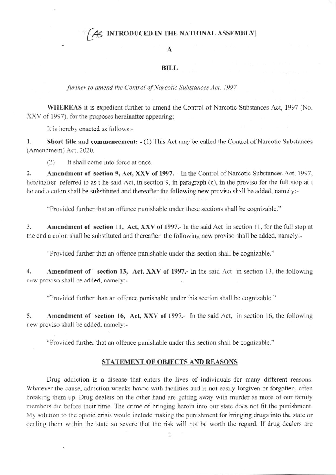## A INTRODUCED IN THE NATIONAL ASSEMBLY

## $\mathbf{A}$

## **BILL**

further to amend the Control of Narcotic Substances Act, 1997

WHEREAS it is expedient further to amend the Control of Narcotic Substances Act, 1997 (No. XXV of 1997), for the purposes hereinafter appearing;

It is hereby enacted as follows:-

 $1.$ Short title and commencement: - (1) This Act may be called the Control of Narcotic Substances (Amendment) Act, 2020.

 $(2)$ It shall come into force at once.

 $\overline{2}$ . Amendment of section 9, Act, XXV of 1997. - In the Control of Narcotic Substances Act, 1997, hereinafter referred to as t he said Act, in section 9, in paragraph (c), in the proviso for the full stop at t he end a colon shall be substituted and thereafter the following new proviso shall be added, namely:-

"Provided further that an offence punishable under these sections shall be cognizable."

Amendment of section 11, Act, XXV of 1997.- In the said Act in section 11, for the full stop at  $3.$ the end a colon shall be substituted and thereafter the following new proviso shall be added, namely:-

"Provided further that an offence punishable under this section shall be cognizable."

 $\overline{4}$ . Amendment of section 13, Act, XXV of 1997. In the said Act in section 13, the following new proviso shall be added, namely:-

"Provided further than an offence punishable under this section shall be cognizable."

5. Amendment of section 16, Act, XXV of 1997.- In the said Act, in section 16, the following new proviso shall be added, namely:-

"Provided further that an offence punishable under this section shall be cognizable."

## STATEMENT OF OBJECTS AND REASONS

Drug addiction is a disease that enters the lives of individuals for many different reasons. Whatever the cause, addiction wreaks havoc with facilities and is not easily forgiven or forgotten, often breaking them up. Drug dealers on the other hand are getting away with murder as more of our family members die before their time. The crime of bringing heroin into our state does not fit the punishment. My solution to the opioid crisis would include making the punishment for bringing drugs into the state or dealing them within the state so severe that the risk will not be worth the regard. If drug dealers are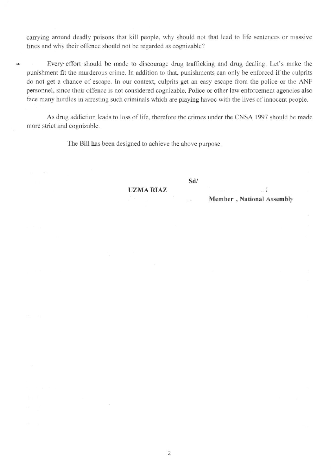carrying around deadly poisons that kill people, why should not that lead to life sentences or massive fines and why their offence should not be regarded as cognizable?

Every effort should be made to discourage drug trafficking and drug dealing. Let's make the punishment fit the murderous crime. In addition to that, punishments can only be enforced if the culprits do not get a chance of escape. In our context, culprits get an easy escape from the police or the ANF personnel, since their offence is not considered cognizable. Police or other law enforcement agencies also face many hurdles in arresting such criminals which are playing havoc with the lives of innocent people.

As drug addiction leads to loss of life, therefore the crimes under the CNSA 1997 should be made more strict and cognizable.

The Bill has been designed to achieve the above purpose.

v.

**UZMA RIAZ** 

Sd/

Member, National Assembly

 $\frac{7}{4}$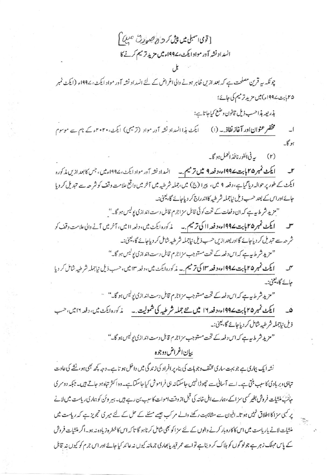[قوى اسمبلى ميں پيش كر ح<sup>8</sup> صبورت صبي<sup>م</sup>] انسداد نشه آور مواد ايكث، ۱۹۹۷ء ميں مزيد تر ميم كرنے كا

چونکہ ہے قرین مصلحت ہے کہ بعد ازیں ظاہر ہونے والی اغراض کے لئے انسداد نشہ آور مواد ایکٹ، ۱۹۹۷ء (ایکٹ نمبر ۲۵بابت ۱۹۹۷ء)میں مزید ترمیم کی جائے؛

بذريعه بذاحسب ذيل قانون وضع كباحاتاين:

مخقر عنوان اور آغاز نفاذ. به (۱) ایکٹ ہذاانسداد نشہ آور مواد (ترمیمی) ایکٹ، ۲۰۲۰ء کے نام سے موسوم  $\overline{\phantom{0}}$  $8n$ 

(۲) به في الفور نافذ العمل ہو گا۔

ایکٹ نمبر ۲۵ پاہت ۱۹۹۷ء، دفعہ ۹ میں ترمیم ۔ په انسداد نشہ آور مواد ایکٹ، ۱۹۹۷ءمیں ، جس کا بعد ازیں مذکورہ  $\mathsf{r}$ ایکٹ کے طور پر حوالہ دیا گیاہے، دفعہ ۹ میں، پیرا (ج) میں،جملہ شرطیہ میں آخر میں واقع علامت وقف کوشر حہ سے تبدیل کر دیا جائے اور اس کے بعد حسب ذیل نیاجملہ شرطیہ کااندراج کر دیاجائے گا، یعنی:۔

"مزید شرط بیہ ہے کہ ان دفعات کے تحت کوئی قابل سزاجرم قابل دست اند ازی پولیس ہو گا۔"

ایکٹ نمبر ۴۵ پاپت ۱۹۹۷ء، دفعہ ااکی ترمیم ۔ پہ پر کورہ ایکٹ میں، دفعہ اامیں، آخر میں آنے دالی علامت دقف کو شر حہ سے تبدیل کر دیاجائے گااور بعد ازیں حسب ذیل نیاجملہ شرطیہ شامل کر دیاجائے گا، یعنی:۔ "مزید شرط پہ ہے کہ اس دفعہ کے تحت مستوجب سزاجرم قابل دست اندازی پولیس ہو گا۔"

ایکٹ نمبر ۲۵ پابت ۱۹۹۷ء، دفعہ ۱۳ کی ترمیم ۔ په رکوره ایکٹ میں، دفعہ ۱۳ میں، حسب ذیل نیاجملہ شرطیہ شامل کر دیا جائے گا، <u>یعنی</u>:۔

" مزید شرط ہے ہے کہ اس دفعہ کے تحت مستوجب مزاجرم قابل دست اندازی یولیس ہو گا۔" ۔

۔ ایکٹ نمبر ۲۵ پابت ۱۹۹۷ء، دفعہ ۱۲ میں نتے جملہ شرطیہ کی شمولیت ۔ پر گورہ ایکٹ میں، دفعہ ۱۲میں، حسب ذیل نیاجملہ شرطبہ شامل کر دیاجائے گا،یعنی:۔

"مزید شر ط بیہ ہے کہ اس دفعہ کے تحت مستوجب سزاجرم قابل دست اندازی پولیس ہو گا۔"

بيإن اغراض دوجوه

نشہ ایک بیاری ہے جو بہت ساری مخلف وجوہات کی بناء پر افراد کی زندگی میں داخل ہو تا ہے۔ وجہ کچھ بھی ہو، نشے کی عادت تباہی دبربادی کاسبب بنتی ہے۔اسے آسانی سے چھوڑا نہیں جاسکتانہ ہی فراموش کیا جاسکتا ہے۔وہ اکثر تباہ ہو جاتے ہیں۔جبکہ دوسری جانت منشات فروش بغیر کسی سز اکے،ہمارے اہل خاند کی قبل از وقت اموات کا سبب بن رہے ہیں۔ہیر وئن کو ہماری ریاست میں لانے پر کسی سزا کا اطلاق نہیں ہوتا۔افیون سے مشابہت رکھنے والے مرکب بھیے مسئلے کے حل کے لئے میر کی تجویز ہے کہ ریاست میں منشیات لانے پار پاست میں اس کاکاروبار کرنے والوں کے لئے سز اکو بھی شامل کرناہو گا تاکہ اس کا خطرہ زیادہ نہ ہو۔اگر منشیات فروش کے پاس مہلک زہر ہے جولو گوں کو ہلاک کر دیتاہے تواسے عمر قید پانجاری جرمانہ کیوں نہ عائد کیا جائے اور اس جرم کو کیوں ند قابل